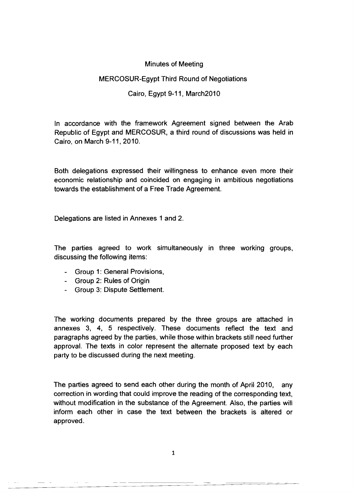## Minutes of Meeting

## MERCOSUR-Egypt Third Round of Negotiations

# Cairo, Egypt 9-11, March2010

In accordance with the framework Agreement signed between the Arab Republic of Egypt and MERCOSUR, a third round of discussions was held in Cairo, on March 9-11,2010.

Both delegations expressed their willingness to enhance even more their economic relationship and coincided on engaging in ambitious negotiations towards the establishment of a Free Trade Agreement.

Delegations are listed in Annexes 1 and 2.

The parties agreed to work simultaneously in three working groups, discussing the following items:

- Group 1: General Provisions,
- Group 2: Rules of Origin
- Group 3: Dispute Settlement.

The working documents prepared by the three groups are attached in annexes 3, 4, 5 respectively. These documents reflect the text and paragraphs agreed by the parties, while those within brackets still need further approval. The texts in color represent the alternate proposed text by each party to be discussed during the next meeting.

The parties agreed to send each other during the month of April 2010, any correction in wording that could improve the reading of the corresponding text, without modification in the substance of the Agreement. Also, the parties will inform each other in case the text between the brackets is altered or approved.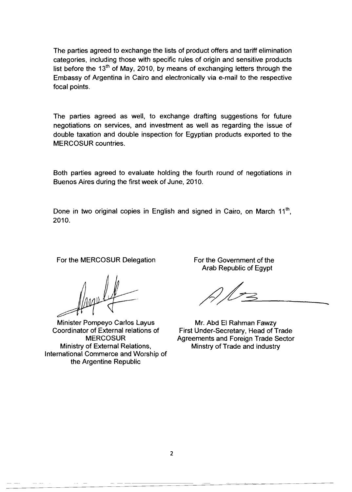The parties agreed to exchange the lists of product offers and tariff elimination categories, including those with specific rules of origin and sensitive products list before the  $13<sup>th</sup>$  of May, 2010, by means of exchanging letters through the Embassy of Argentina in Cairo and electronically via e-mail to the respective focal points.

The parties agreed as well, to exchange drafting suggestions for future negotiations on services, and investment as well as regarding the issue of double taxation and double inspection for Egyptian products exported to the MERCOSUR countries.

Both parties agreed to evaluate holding the fourth round of negotiations in Buenos Aires during the first week of June, 2010.

Done in two original copies in English and signed in Cairo, on March  $11<sup>th</sup>$ , 2010.

For the MERCOSUR Delegation For the Government of the

Minister Pompeyo Carlos Layus Mr. Abd El Rahman Fawzy Ministry of External Relations, Minstry of Trade and industry International Commerce and Worship of the Argentine Republic

Arab Republic of Egypt

 $M_{3}$ 

Coordinator of External relations of First Under-Secretary, Head of Trade MERCOSUR Agreements and Foreign Trade Sector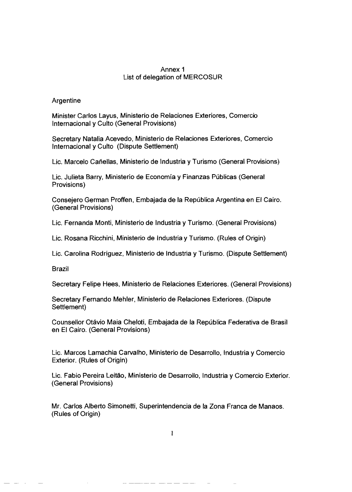### Annex 1 List of delegation of MERCOSUR

### Argentine

Minister Carlos Layus, Ministerio de Relaciones Exteriores, Comercio Internacional y Culto (General Provisions)

Secretary Natalia Acevedo, Ministerio de Relaciones Exteriores, Comercio Internacional y Culto (Dispute Settlement)

Lic. Marcelo Cariellas, Ministerio de Industria y Turismo (General Provisions)

Lic. Julieta Barry, Ministerio de Economía y Finanzas Públicas (General Provisions)

Consejero German Proffen, Embajada de la República Argentina en El Cairo. (General Provisions)

Lic. Fernanda Monti, Ministerio de Industria y Turismo. (General Provisions)

Lic. Rosana Ricchini, Ministerio de Industria y Turismo. (Rules of Origin)

Lic. Carolina Rodriguez, Ministerio de Industria y Turismo. (Dispute Settlement)

Brazil

Secretary Felipe Hees, Ministerio de Relaciones Exteriores. (General Provisions)

Secretary Fernando Mehler, Ministerio de Relaciones Exteriores. (Dispute Settlement)

Counsellor Otavio Maia Cheloti, Embajada de la Republica Federativa de Brasil en EI Cairo. (General Provisions)

Lie. Marcos Lamachia Carvalho, Ministerio de Desarrollo, Industria y Comereio Exterior. (Rules of Origin)

Lie. Fabio Pereira Leitao, Ministerio de Desarrollo, Industria y Comercio Exterior. (General Provisions)

Mr. Carlos Alberto Simonetti, Superintendencia de la Zona Franca de Manaos. (Rules of Origin)

 $\mathbf{1}$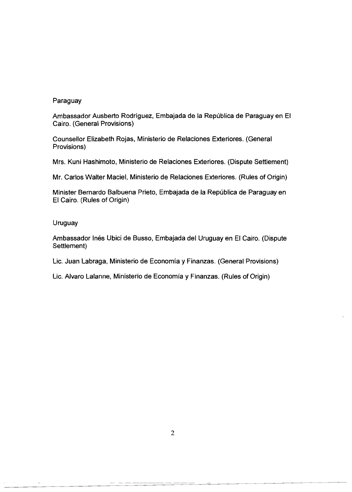### Paraguay

Ambassador Ausberto Rodríguez, Embajada de la República de Paraguay en El Cairo. (General Provisions)

Counsellor Elizabeth Rojas. Ministerio de Relaciones Exteriores. (General Provisions)

Mrs. Kuni Hashimoto, Ministerio de Relaciones Exteriores. (Dispute Settlement)

Mr. Carlos Walter Maciel, Ministerio de Relaciones Exteriores. (Rules of Origin)

Minister Bernardo Balbuena Prieto, Embajada de la República de Paraguay en EI Cairo. (Rules of Origin)

### Uruguay

Ambassador Inés Ubici de Busso, Embajada del Uruguay en El Cairo. (Dispute Settlement)

Lic. Juan Labraga, Ministerio de Economia y Finanzas. (General Provisions)

Lic. Alvaro Lalanne, Ministerio de Economia y Finanzas. (Rules of Origin)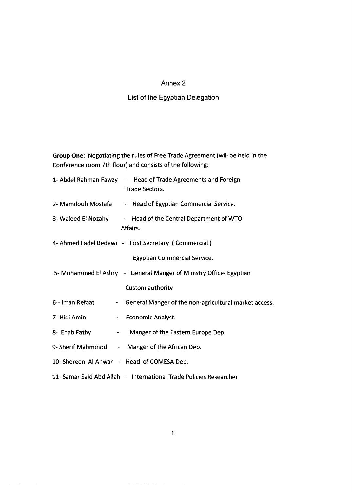#### Annex 2

#### List of the Egyptian Delegation

**Group** One: Negotiating the rules of Free Trade Agreement (will be held in the Conference room 7th floor) and consists of the following:

|                                            | 1- Abdel Rahman Fawzy - Head of Trade Agreements and Foreign<br><b>Trade Sectors.</b> |
|--------------------------------------------|---------------------------------------------------------------------------------------|
|                                            | 2- Mamdouh Mostafa - Head of Egyptian Commercial Service.                             |
|                                            | 3- Waleed El Nozahy - Head of the Central Department of WTO<br>Affairs.               |
|                                            | 4- Ahmed Fadel Bedewi - First Secretary (Commercial)                                  |
|                                            | <b>Egyptian Commercial Service.</b>                                                   |
|                                            | 5- Mohammed El Ashry - General Manger of Ministry Office- Egyptian                    |
|                                            | Custom authority                                                                      |
| 6-- Iman Refaat                            | - General Manger of the non-agricultural market access.                               |
| 7- Hidi Amin                               | - Economic Analyst.                                                                   |
| 8- Ehab Fathy<br>$\bullet$ . $\bullet$     | Manger of the Eastern Europe Dep.                                                     |
|                                            | 9- Sherif Mahmmod - Manger of the African Dep.                                        |
| 10- Shereen Al Anwar - Head of COMESA Dep. |                                                                                       |
|                                            | 11- Samar Said Abd Allah - International Trade Policies Researcher                    |

 $\omega$  , and  $\omega$  and  $\omega$  are  $\omega$  and  $\omega$  . The set of  $\omega$ 

 $\Delta\Delta=0$  $\sim$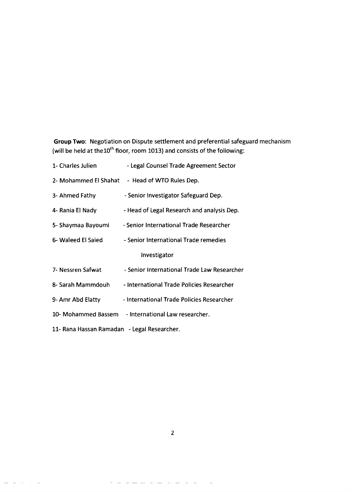**Group** Two: Negotiation on Dispute settlement and preferential safeguard mechanism (will be held at the $10^{\text{th}}$  floor, room 1013) and consists of the following:

| 1- Charles Julien                           | - Legal Counsel Trade Agreement Sector         |
|---------------------------------------------|------------------------------------------------|
|                                             | 2- Mohammed El Shahat - Head of WTO Rules Dep. |
| 3- Ahmed Fathy                              | - Senior Investigator Safeguard Dep.           |
| 4- Rania El Nady                            | - Head of Legal Research and analysis Dep.     |
| 5- Shaymaa Bayoumi                          | - Senior International Trade Researcher        |
| 6- Waleed El Saied                          | - Senior International Trade remedies          |
|                                             | Investigator                                   |
| 7- Nessren Safwat                           | - Senior International Trade Law Researcher    |
| 8- Sarah Mammdouh                           | - International Trade Policies Researcher      |
| 9- Amr Abd Elatty                           | - International Trade Policies Researcher      |
| 10- Mohammed Bassem                         | - International Law researcher.                |
| 11- Rana Hassan Ramadan - Legal Researcher. |                                                |

2

 $\hat{\mathcal{H}}$  $\mathcal{A}$  $\bar{\mathcal{L}}$